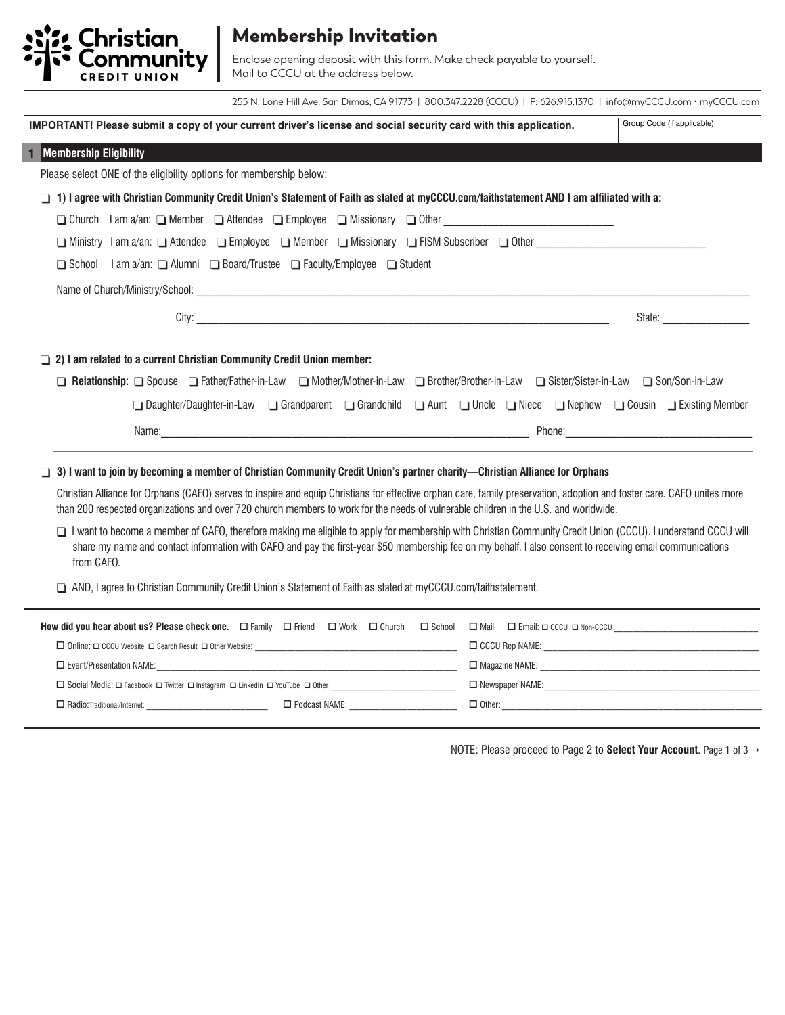

## Membership Invitation

Enclose opening deposit with this form. Make check payable to yourself. Mail to CCCU at the address below.

255 N. Lone Hill Ave. San Dimas, CA 91773 | 800.347.2228 (CCCU) | F: 626.915.1370 | info@myCCCU.com • myCCCU.com

| IMPORTANT! Please submit a copy of your current driver's license and social security card with this application.                                                                                                                                                                                                                                                                                                                                    | Group Code (if applicable)                                                                                                                                                                                                     |
|-----------------------------------------------------------------------------------------------------------------------------------------------------------------------------------------------------------------------------------------------------------------------------------------------------------------------------------------------------------------------------------------------------------------------------------------------------|--------------------------------------------------------------------------------------------------------------------------------------------------------------------------------------------------------------------------------|
| <b>Membership Eligibility</b><br>1                                                                                                                                                                                                                                                                                                                                                                                                                  |                                                                                                                                                                                                                                |
| Please select ONE of the eligibility options for membership below:                                                                                                                                                                                                                                                                                                                                                                                  |                                                                                                                                                                                                                                |
| 1) I agree with Christian Community Credit Union's Statement of Faith as stated at myCCCU.com/faithstatement AND I am affiliated with a:<br>□                                                                                                                                                                                                                                                                                                       |                                                                                                                                                                                                                                |
| □ Church Iam a/an: □ Member □ Attendee □ Employee □ Missionary □ Other ____________________________                                                                                                                                                                                                                                                                                                                                                 |                                                                                                                                                                                                                                |
| □ Ministry I am a/an: □ Attendee □ Employee □ Member □ Missionary □ FISM Subscriber □ Other University I am a/an: □ Attendee □ Employee □ Member □ Missionary □ FISM Subscriber □ Other                                                                                                                                                                                                                                                             |                                                                                                                                                                                                                                |
| I am a/an: ■ Alumni ■ Board/Trustee ■ Faculty/Employee ■ Student<br>$\Box$ School                                                                                                                                                                                                                                                                                                                                                                   |                                                                                                                                                                                                                                |
|                                                                                                                                                                                                                                                                                                                                                                                                                                                     |                                                                                                                                                                                                                                |
|                                                                                                                                                                                                                                                                                                                                                                                                                                                     | State: and the state of the state of the state of the state of the state of the state of the state of the state of the state of the state of the state of the state of the state of the state of the state of the state of the |
| 2) I am related to a current Christian Community Credit Union member:<br>$\Box$<br><b>Belationship: Q</b> Spouse Q Father/Father-in-Law Q Mother/Mother-in-Law Q Brother/Brother-in-Law Q Sister/Sister-in-Law Q Son/Son-in-Law<br>[Daughter/Daughter-in-Law   Grandparent   Grandchild   Aunt   Uncle   Niece   Nephew   Cousin   Existing Member                                                                                                  |                                                                                                                                                                                                                                |
| Name: 2008. [2016] Phone: 2008. [2016] Phone: 2008. [2016] Phone: 2008. [2016] Phone: 2008. [2016] Phone: 2008. [2016] Phone: 2008. [2016] Phone: 2008. [2016] Phone: 2008. [2016] Phone: 2008. [2016] Phone: 2008. [2016] Pho                                                                                                                                                                                                                      |                                                                                                                                                                                                                                |
| 3) I want to join by becoming a member of Christian Community Credit Union's partner charity—Christian Alliance for Orphans<br>ப<br>Christian Alliance for Orphans (CAFO) serves to inspire and equip Christians for effective orphan care, family preservation, adoption and foster care. CAFO unites more<br>than 200 respected organizations and over 720 church members to work for the needs of vulnerable children in the U.S. and worldwide. |                                                                                                                                                                                                                                |
| I want to become a member of CAFO, therefore making me eligible to apply for membership with Christian Community Credit Union (CCCU). I understand CCCU will<br>share my name and contact information with CAFO and pay the first-year \$50 membership fee on my behalf. I also consent to receiving email communications<br>from CAFO.                                                                                                             |                                                                                                                                                                                                                                |
| AND, I agree to Christian Community Credit Union's Statement of Faith as stated at myCCCU.com/faithstatement.                                                                                                                                                                                                                                                                                                                                       |                                                                                                                                                                                                                                |

| How did you hear about us? Please check one.<br>$\square$ Friend $\square$ Work $\square$ Church $\square$ School $\square$ Mail $\square$ Email: $\square$ CCCU $\square$ Non-CCCU |  |                      |  |  |                        |                       |
|-------------------------------------------------------------------------------------------------------------------------------------------------------------------------------------|--|----------------------|--|--|------------------------|-----------------------|
| $\Box$ Online: $\Box$ CCCU Website $\Box$ Search Result $\Box$ Other Website:                                                                                                       |  |                      |  |  |                        | $\Box$ CCCU Rep NAME: |
| $\Box$ Event/Presentation NAME:                                                                                                                                                     |  |                      |  |  |                        | $\Box$ Magazine NAME: |
| $\Box$ Social Media: $\Box$ Facebook $\Box$ Twitter $\Box$ Instagram $\Box$ LinkedIn $\Box$ YouTube $\Box$ Other                                                                    |  |                      |  |  | $\Box$ Newspaper NAME: |                       |
| Radio:Traditional/Internet:                                                                                                                                                         |  | $\Box$ Podcast NAME: |  |  | $\Box$ Other:          |                       |

NOTE: Please proceed to Page 2 to **Select Your Account**. Page 1 of 3 →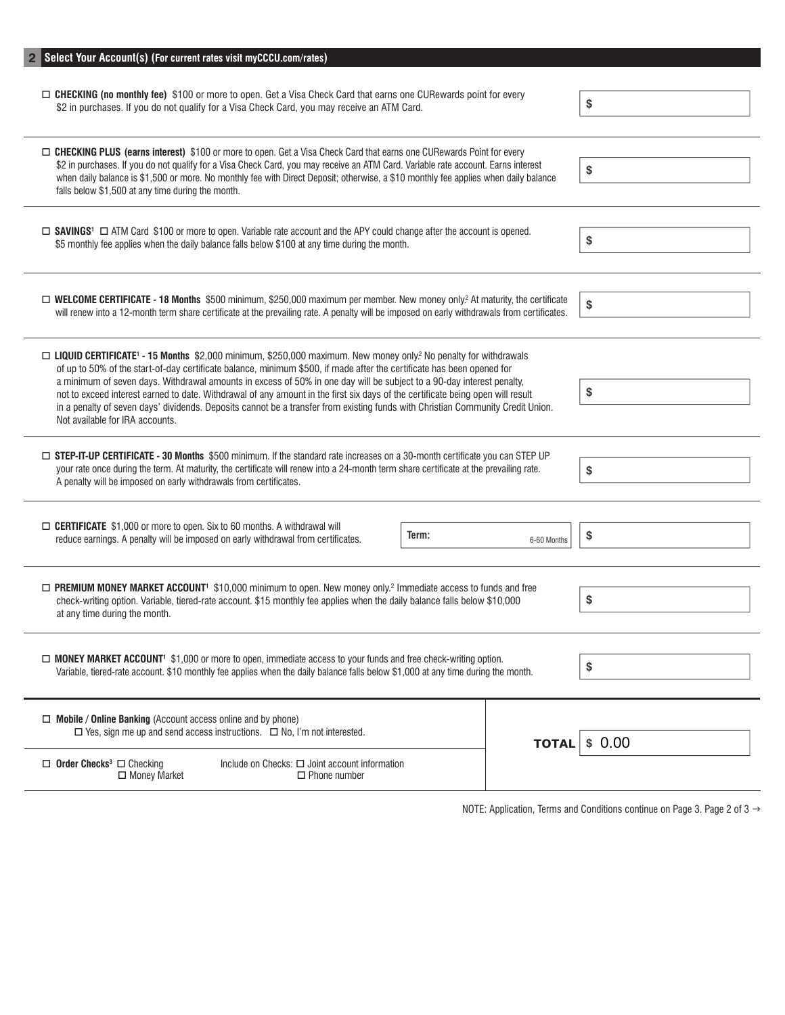| Select Your Account(s) (For current rates visit myCCCU.com/rates)                                                                                                                                                                                                                                                                                                                                                                                                                                                                                                                                                                                                                              |              |        |  |  |
|------------------------------------------------------------------------------------------------------------------------------------------------------------------------------------------------------------------------------------------------------------------------------------------------------------------------------------------------------------------------------------------------------------------------------------------------------------------------------------------------------------------------------------------------------------------------------------------------------------------------------------------------------------------------------------------------|--------------|--------|--|--|
| □ CHECKING (no monthly fee) \$100 or more to open. Get a Visa Check Card that earns one CURewards point for every<br>\$2 in purchases. If you do not qualify for a Visa Check Card, you may receive an ATM Card.                                                                                                                                                                                                                                                                                                                                                                                                                                                                               | \$           |        |  |  |
| □ CHECKING PLUS (earns interest) \$100 or more to open. Get a Visa Check Card that earns one CURewards Point for every<br>\$2 in purchases. If you do not qualify for a Visa Check Card, you may receive an ATM Card. Variable rate account. Earns interest<br>when daily balance is \$1,500 or more. No monthly fee with Direct Deposit; otherwise, a \$10 monthly fee applies when daily balance<br>falls below \$1,500 at any time during the month.                                                                                                                                                                                                                                        |              | \$     |  |  |
| □ SAVINGS <sup>1</sup> □ ATM Card \$100 or more to open. Variable rate account and the APY could change after the account is opened.<br>\$5 monthly fee applies when the daily balance falls below \$100 at any time during the month.                                                                                                                                                                                                                                                                                                                                                                                                                                                         |              | \$     |  |  |
| □ WELCOME CERTIFICATE - 18 Months \$500 minimum, \$250,000 maximum per member. New money only? At maturity, the certificate<br>will renew into a 12-month term share certificate at the prevailing rate. A penalty will be imposed on early withdrawals from certificates.                                                                                                                                                                                                                                                                                                                                                                                                                     |              | \$     |  |  |
| □ LIQUID CERTIFICATE <sup>1</sup> - 15 Months \$2,000 minimum, \$250,000 maximum. New money only? No penalty for withdrawals<br>of up to 50% of the start-of-day certificate balance, minimum \$500, if made after the certificate has been opened for<br>a minimum of seven days. Withdrawal amounts in excess of 50% in one day will be subject to a 90-day interest penalty,<br>\$<br>not to exceed interest earned to date. Withdrawal of any amount in the first six days of the certificate being open will result<br>in a penalty of seven days' dividends. Deposits cannot be a transfer from existing funds with Christian Community Credit Union.<br>Not available for IRA accounts. |              |        |  |  |
| □ STEP-IT-UP CERTIFICATE - 30 Months \$500 minimum. If the standard rate increases on a 30-month certificate you can STEP UP<br>your rate once during the term. At maturity, the certificate will renew into a 24-month term share certificate at the prevailing rate.<br>\$<br>A penalty will be imposed on early withdrawals from certificates.                                                                                                                                                                                                                                                                                                                                              |              |        |  |  |
| □ CERTIFICATE \$1,000 or more to open. Six to 60 months. A withdrawal will<br>reduce earnings. A penalty will be imposed on early withdrawal from certificates.                                                                                                                                                                                                                                                                                                                                                                                                                                                                                                                                | \$           |        |  |  |
| $\Box$ PREMIUM MONEY MARKET ACCOUNT <sup>1</sup> \$10,000 minimum to open. New money only. <sup>2</sup> Immediate access to funds and free<br>\$<br>check-writing option. Variable, tiered-rate account. \$15 monthly fee applies when the daily balance falls below \$10,000<br>at any time during the month.                                                                                                                                                                                                                                                                                                                                                                                 |              |        |  |  |
| □ MONEY MARKET ACCOUNT <sup>1</sup> \$1,000 or more to open, immediate access to your funds and free check-writing option.<br>\$<br>Variable, tiered-rate account. \$10 monthly fee applies when the daily balance falls below \$1,000 at any time during the month.                                                                                                                                                                                                                                                                                                                                                                                                                           |              |        |  |  |
| $\Box$ Mobile / Online Banking (Account access online and by phone)<br>$\Box$ Yes, sign me up and send access instructions. $\Box$ No, I'm not interested.                                                                                                                                                                                                                                                                                                                                                                                                                                                                                                                                     | <b>TOTAL</b> | \$0.00 |  |  |
| Include on Checks: $\Box$ Joint account information<br>$\Box$ Order Checks <sup>3</sup> $\Box$ Checking<br>$\Box$ Money Market<br>$\Box$ Phone number                                                                                                                                                                                                                                                                                                                                                                                                                                                                                                                                          |              |        |  |  |

NOTE: Application, Terms and Conditions continue on Page 3. Page 2 of 3  $\rightarrow$